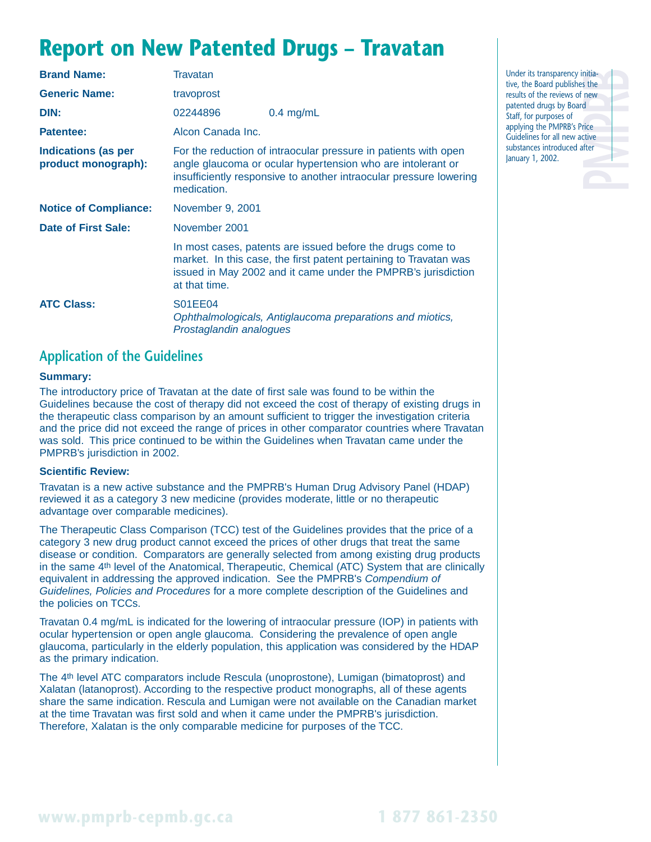## **Report on New Patented Drugs – Travatan**

| <b>Brand Name:</b>                                | <b>Travatan</b>                                                                                                                                                                                                     |                                                                                                                                                                                                  |  |
|---------------------------------------------------|---------------------------------------------------------------------------------------------------------------------------------------------------------------------------------------------------------------------|--------------------------------------------------------------------------------------------------------------------------------------------------------------------------------------------------|--|
| <b>Generic Name:</b>                              | travoprost                                                                                                                                                                                                          |                                                                                                                                                                                                  |  |
| DIN:                                              | 02244896                                                                                                                                                                                                            | $0.4$ mg/mL                                                                                                                                                                                      |  |
| Patentee:                                         | Alcon Canada Inc.                                                                                                                                                                                                   |                                                                                                                                                                                                  |  |
| <b>Indications (as per</b><br>product monograph): | For the reduction of intraocular pressure in patients with open<br>angle glaucoma or ocular hypertension who are intolerant or<br>insufficiently responsive to another intraocular pressure lowering<br>medication. |                                                                                                                                                                                                  |  |
| <b>Notice of Compliance:</b>                      | November 9, 2001                                                                                                                                                                                                    |                                                                                                                                                                                                  |  |
| Date of First Sale:                               | November 2001                                                                                                                                                                                                       |                                                                                                                                                                                                  |  |
| at that time.                                     |                                                                                                                                                                                                                     | In most cases, patents are issued before the drugs come to<br>market. In this case, the first patent pertaining to Travatan was<br>issued in May 2002 and it came under the PMPRB's jurisdiction |  |
| <b>ATC Class:</b>                                 | S01EE04<br>Ophthalmologicals, Antiglaucoma preparations and miotics,<br>Prostaglandin analogues                                                                                                                     |                                                                                                                                                                                                  |  |

### **Application of the Guidelines**

#### **Summary:**

The introductory price of Travatan at the date of first sale was found to be within the Guidelines because the cost of therapy did not exceed the cost of therapy of existing drugs in the therapeutic class comparison by an amount sufficient to trigger the investigation criteria and the price did not exceed the range of prices in other comparator countries where Travatan was sold. This price continued to be within the Guidelines when Travatan came under the PMPRB's jurisdiction in 2002.

#### **Scientific Review:**

Travatan is a new active substance and the PMPRB's Human Drug Advisory Panel (HDAP) reviewed it as a category 3 new medicine (provides moderate, little or no therapeutic advantage over comparable medicines).

The Therapeutic Class Comparison (TCC) test of the Guidelines provides that the price of a category 3 new drug product cannot exceed the prices of other drugs that treat the same disease or condition. Comparators are generally selected from among existing drug products in the same 4th level of the Anatomical, Therapeutic, Chemical (ATC) System that are clinically equivalent in addressing the approved indication. See the PMPRB's Compendium of Guidelines, Policies and Procedures for a more complete description of the Guidelines and the policies on TCCs.

Travatan 0.4 mg/mL is indicated for the lowering of intraocular pressure (IOP) in patients with ocular hypertension or open angle glaucoma. Considering the prevalence of open angle glaucoma, particularly in the elderly population, this application was considered by the HDAP as the primary indication.

The 4th level ATC comparators include Rescula (unoprostone), Lumigan (bimatoprost) and Xalatan (latanoprost). According to the respective product monographs, all of these agents share the same indication. Rescula and Lumigan were not available on the Canadian market at the time Travatan was first sold and when it came under the PMPRB's jurisdiction. Therefore, Xalatan is the only comparable medicine for purposes of the TCC.

nitia-<br>
s the<br>
d<br>
d<br>
d<br>
d<br>
tice<br>
tice<br>
fter Under its transparency initiative, the Board publishes the results of the reviews of new patented drugs by Board Staff, for purposes of applying the PMPRB's Price Guidelines for all new active substances introduced after January 1, 2002.

## **www.pmprb-cepmb.gc.ca 1 877 861-2350**